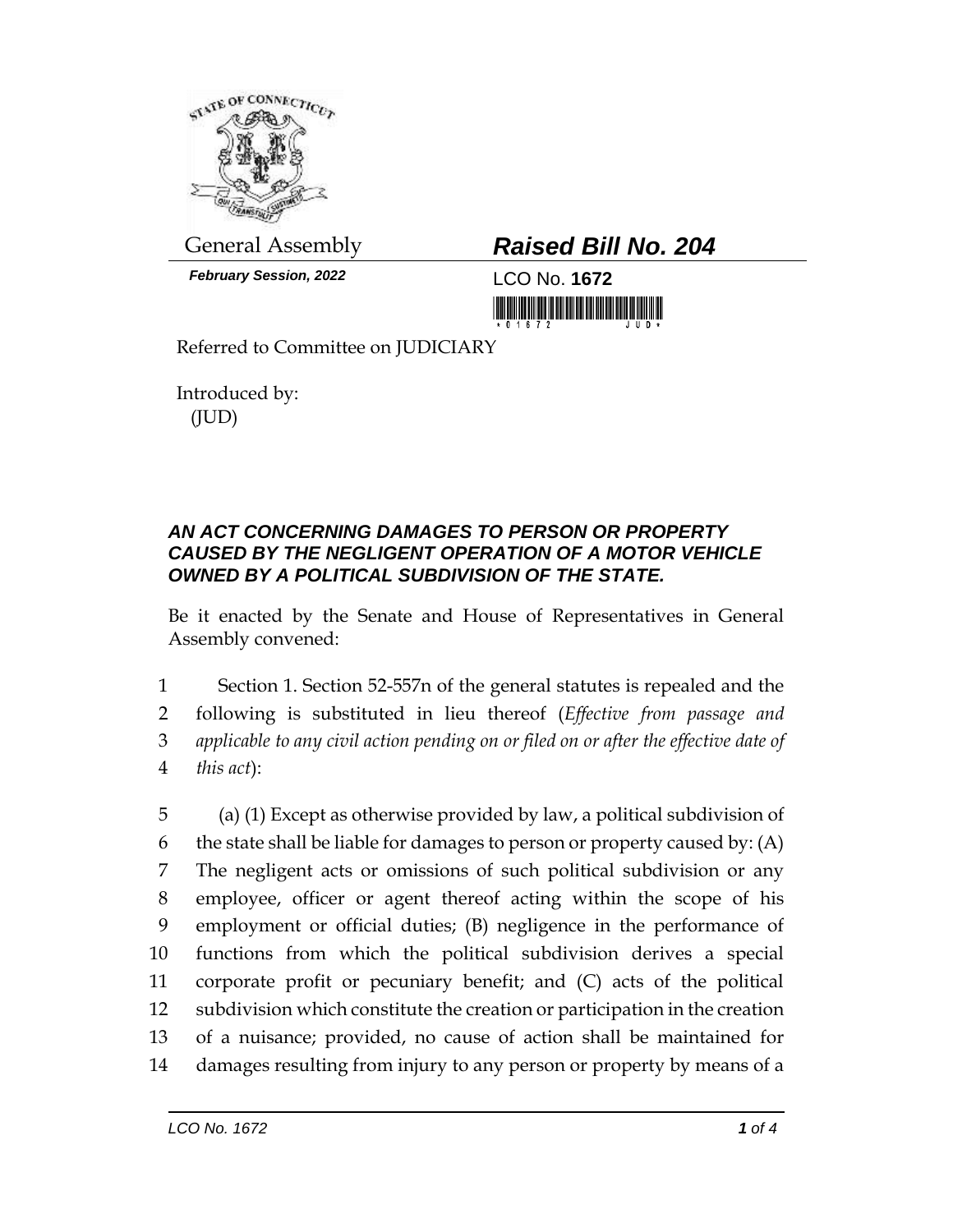

*February Session, 2022* LCO No. **1672**

## General Assembly *Raised Bill No. 204*

Referred to Committee on JUDICIARY

Introduced by: (JUD)

## *AN ACT CONCERNING DAMAGES TO PERSON OR PROPERTY CAUSED BY THE NEGLIGENT OPERATION OF A MOTOR VEHICLE OWNED BY A POLITICAL SUBDIVISION OF THE STATE.*

Be it enacted by the Senate and House of Representatives in General Assembly convened:

 Section 1. Section 52-557n of the general statutes is repealed and the following is substituted in lieu thereof (*Effective from passage and applicable to any civil action pending on or filed on or after the effective date of this act*):

 (a) (1) Except as otherwise provided by law, a political subdivision of 6 the state shall be liable for damages to person or property caused by:  $(A)$  The negligent acts or omissions of such political subdivision or any employee, officer or agent thereof acting within the scope of his employment or official duties; (B) negligence in the performance of functions from which the political subdivision derives a special corporate profit or pecuniary benefit; and (C) acts of the political subdivision which constitute the creation or participation in the creation of a nuisance; provided, no cause of action shall be maintained for damages resulting from injury to any person or property by means of a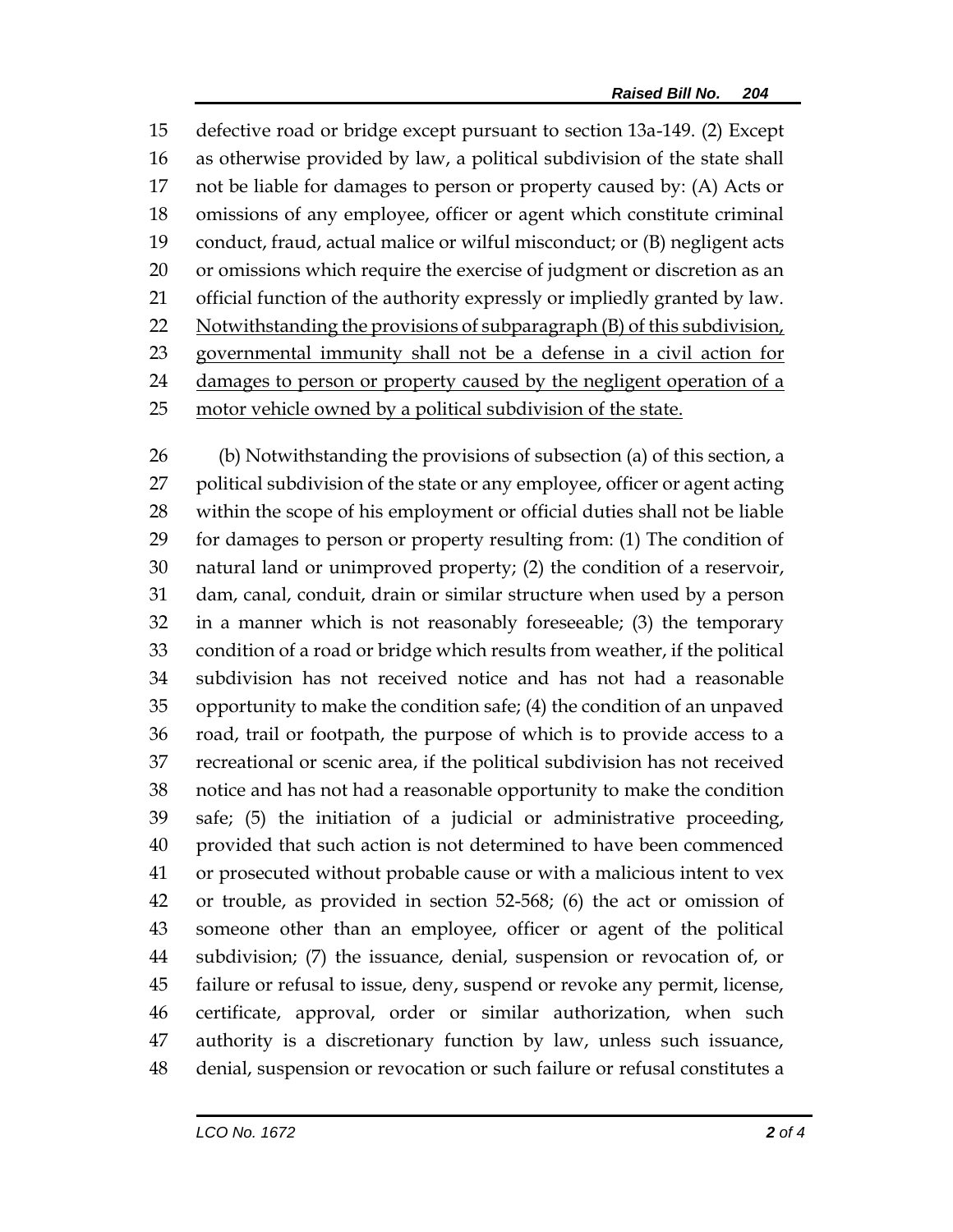defective road or bridge except pursuant to section 13a-149. (2) Except as otherwise provided by law, a political subdivision of the state shall not be liable for damages to person or property caused by: (A) Acts or omissions of any employee, officer or agent which constitute criminal conduct, fraud, actual malice or wilful misconduct; or (B) negligent acts or omissions which require the exercise of judgment or discretion as an official function of the authority expressly or impliedly granted by law. 22 Notwithstanding the provisions of subparagraph (B) of this subdivision, governmental immunity shall not be a defense in a civil action for 24 damages to person or property caused by the negligent operation of a motor vehicle owned by a political subdivision of the state.

 (b) Notwithstanding the provisions of subsection (a) of this section, a political subdivision of the state or any employee, officer or agent acting within the scope of his employment or official duties shall not be liable for damages to person or property resulting from: (1) The condition of natural land or unimproved property; (2) the condition of a reservoir, dam, canal, conduit, drain or similar structure when used by a person in a manner which is not reasonably foreseeable; (3) the temporary condition of a road or bridge which results from weather, if the political subdivision has not received notice and has not had a reasonable opportunity to make the condition safe; (4) the condition of an unpaved road, trail or footpath, the purpose of which is to provide access to a recreational or scenic area, if the political subdivision has not received notice and has not had a reasonable opportunity to make the condition safe; (5) the initiation of a judicial or administrative proceeding, provided that such action is not determined to have been commenced or prosecuted without probable cause or with a malicious intent to vex or trouble, as provided in section 52-568; (6) the act or omission of someone other than an employee, officer or agent of the political subdivision; (7) the issuance, denial, suspension or revocation of, or failure or refusal to issue, deny, suspend or revoke any permit, license, certificate, approval, order or similar authorization, when such authority is a discretionary function by law, unless such issuance, denial, suspension or revocation or such failure or refusal constitutes a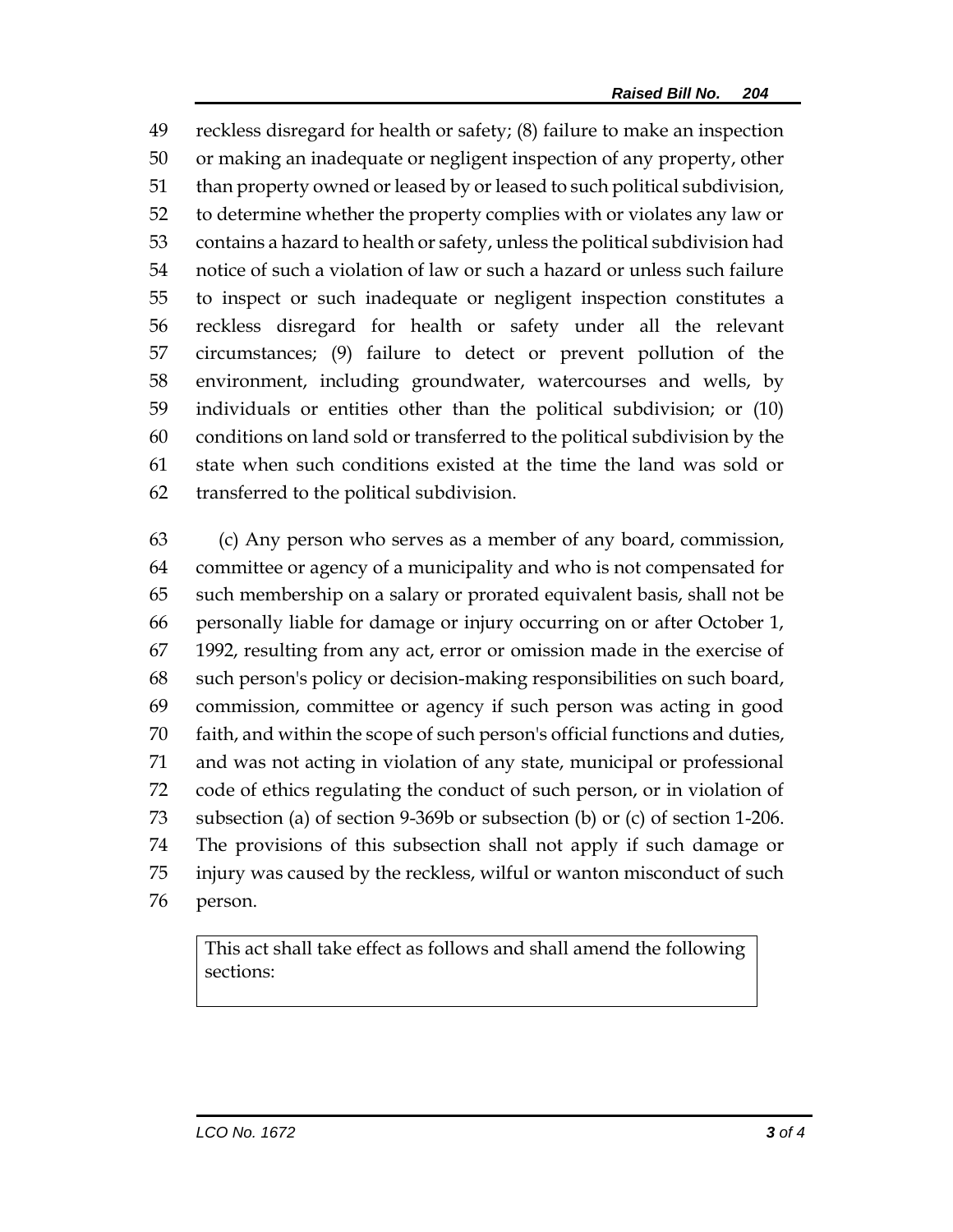reckless disregard for health or safety; (8) failure to make an inspection or making an inadequate or negligent inspection of any property, other than property owned or leased by or leased to such political subdivision, to determine whether the property complies with or violates any law or contains a hazard to health or safety, unless the political subdivision had notice of such a violation of law or such a hazard or unless such failure to inspect or such inadequate or negligent inspection constitutes a reckless disregard for health or safety under all the relevant circumstances; (9) failure to detect or prevent pollution of the environment, including groundwater, watercourses and wells, by individuals or entities other than the political subdivision; or (10) conditions on land sold or transferred to the political subdivision by the state when such conditions existed at the time the land was sold or transferred to the political subdivision.

 (c) Any person who serves as a member of any board, commission, committee or agency of a municipality and who is not compensated for such membership on a salary or prorated equivalent basis, shall not be personally liable for damage or injury occurring on or after October 1, 1992, resulting from any act, error or omission made in the exercise of such person's policy or decision-making responsibilities on such board, commission, committee or agency if such person was acting in good faith, and within the scope of such person's official functions and duties, and was not acting in violation of any state, municipal or professional code of ethics regulating the conduct of such person, or in violation of subsection (a) of section 9-369b or subsection (b) or (c) of section 1-206. The provisions of this subsection shall not apply if such damage or injury was caused by the reckless, wilful or wanton misconduct of such person.

This act shall take effect as follows and shall amend the following sections: